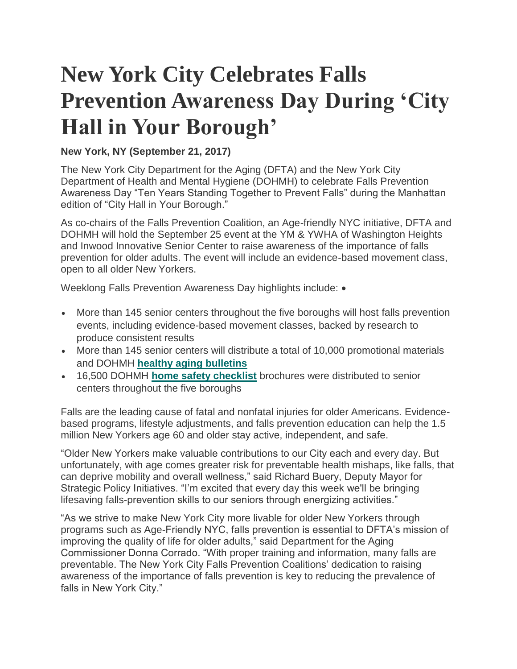## **New York City Celebrates Falls Prevention Awareness Day During 'City Hall in Your Borough'**

## **New York, NY (September 21, 2017)**

The New York City Department for the Aging (DFTA) and the New York City Department of Health and Mental Hygiene (DOHMH) to celebrate Falls Prevention Awareness Day "Ten Years Standing Together to Prevent Falls" during the Manhattan edition of "City Hall in Your Borough."

As co-chairs of the Falls Prevention Coalition, an Age-friendly NYC initiative, DFTA and DOHMH will hold the September 25 event at the YM & YWHA of Washington Heights and Inwood Innovative Senior Center to raise awareness of the importance of falls prevention for older adults. The event will include an evidence-based movement class, open to all older New Yorkers.

Weeklong Falls Prevention Awareness Day highlights include: •

- More than 145 senior centers throughout the five boroughs will host falls prevention events, including evidence-based movement classes, backed by research to produce consistent results
- More than 145 senior centers will distribute a total of 10,000 promotional materials and DOHMH **[healthy aging bulletins](http://www1.nyc.gov/assets/doh/downloads/pdf/public/dohmhnews15-05.pdf)**
- 16,500 DOHMH **[home safety checklist](http://www1.nyc.gov/assets/doh/downloads/pdf/ip/prevent-falls-checklist.pdf)** brochures were distributed to senior centers throughout the five boroughs

Falls are the leading cause of fatal and nonfatal injuries for older Americans. Evidencebased programs, lifestyle adjustments, and falls prevention education can help the 1.5 million New Yorkers age 60 and older stay active, independent, and safe.

"Older New Yorkers make valuable contributions to our City each and every day. But unfortunately, with age comes greater risk for preventable health mishaps, like falls, that can deprive mobility and overall wellness," said Richard Buery, Deputy Mayor for Strategic Policy Initiatives. "I'm excited that every day this week we'll be bringing lifesaving falls-prevention skills to our seniors through energizing activities."

"As we strive to make New York City more livable for older New Yorkers through programs such as Age-Friendly NYC, falls prevention is essential to DFTA's mission of improving the quality of life for older adults," said Department for the Aging Commissioner Donna Corrado. "With proper training and information, many falls are preventable. The New York City Falls Prevention Coalitions' dedication to raising awareness of the importance of falls prevention is key to reducing the prevalence of falls in New York City."